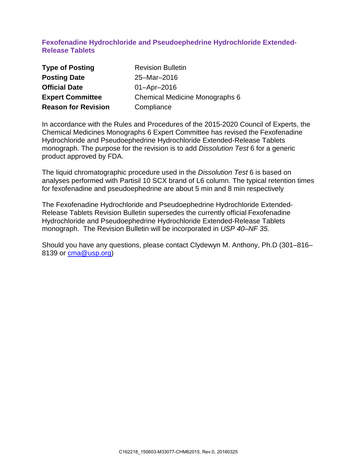## **Fexofenadine Hydrochloride and Pseudoephedrine Hydrochloride Extended-Release Tablets**

| <b>Type of Posting</b>     | <b>Revision Bulletin</b>              |  |  |
|----------------------------|---------------------------------------|--|--|
| <b>Posting Date</b>        | 25-Mar-2016                           |  |  |
| <b>Official Date</b>       | $01 -$ Apr $-2016$                    |  |  |
| <b>Expert Committee</b>    | <b>Chemical Medicine Monographs 6</b> |  |  |
| <b>Reason for Revision</b> | Compliance                            |  |  |

In accordance with the Rules and Procedures of the 2015-2020 Council of Experts, the Chemical Medicines Monographs 6 Expert Committee has revised the Fexofenadine Hydrochloride and Pseudoephedrine Hydrochloride Extended-Release Tablets monograph. The purpose for the revision is to add *Dissolution Test* 6 for a generic product approved by FDA.

The liquid chromatographic procedure used in the *Dissolution Test* 6 is based on analyses performed with Partisil 10 SCX brand of L6 column. The typical retention times for fexofenadine and pseudoephedrine are about 5 min and 8 min respectively

The Fexofenadine Hydrochloride and Pseudoephedrine Hydrochloride Extended-Release Tablets Revision Bulletin supersedes the currently official Fexofenadine Hydrochloride and Pseudoephedrine Hydrochloride Extended-Release Tablets monograph. The Revision Bulletin will be incorporated in *USP 40–NF 35.*

Should you have any questions, please contact Clydewyn M. Anthony, Ph.D (301–816– 8139 or [cma@usp.org\)](mailto:cma@usp.org)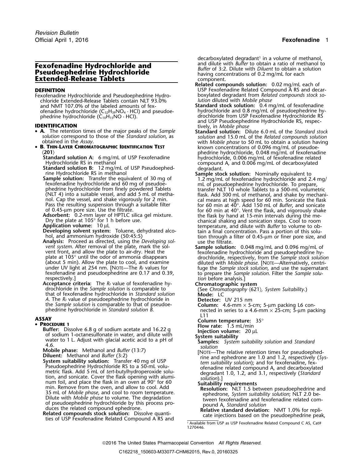# **Extended-Release Tablets**

Fexofenadine Hydrochloride and Pseudoephedrine Hydro-<br>chloride Extended-Release Tablets contain NLT 93.0% *lution* diluted with *Mobile phase* chloride Extended-Release Tablets contain NLT 93.0%<br>and NMT 107.0% of the labeled amounts of fexofenadine hydrochloride (C<sub>32</sub>H<sub>39</sub>NO<sub>4</sub> · HCl) and pseudoe-  $\hskip 1.6cm$  hydrochloride and 0.8 mg/mL of pseudoephedrine hy-

- **A.** The retention times of the major peaks of the *Sample* **Standard solution:** Dilute 6.0 mL of the *Standard stock*
- •

**Acceptance criteria:** The  $R_F$  value of fexofenadine hy-<br>drochloride in the *Sample solution* is comparable to (See Chromatographic system Suitability.)<br>that of fexofenadine hydrochloride in *Standard solution* Mode: LC<br> *A*. The  $R_F$  value of pseudoephedrine hydrochloride in the *Sample solution* is comparable to that of pseudoethe *Sample solution* is comparable to that of pseudoe-<br>phedrine hydrochloride in *Standard solution B*.<br>nected in series to a 4.6-mm × 25-cm; 5-um pac

ASSAY<br>**• Procedure:** 15°<br>**Procedure:** 1.5 mL/min<br>**Putter:** Disselve 6.8 of sodium asstate and 16.22 of the Flow rate: 1.5 mL/min

- 
- **PROCEDURE 1**<br> **Example the Sack of Solution and Hotal Higheric Dissolve 6.8 g of sodium acetate and 16.22 g<br>
of sodium 1-octanesulfonate in water, and dilute with<br>
water to 1L. Adjust with glacial acetic acid to a pH of** 
	-

decarboxylated degradant<sup>1</sup> in a volume of methanol, and dilute with *Buffer* to obtain a ratio of methanol to **Fexofenadine Hydrochloride and**<br> **Pseudoephedrine Hydrochloride**<br> **Extended-Release Tablets**<br> **Extended-Release Tablets**<br> **Extended-Release Tablets**<br> **Extended-Release Tablets**<br> **Extended-Release Tablets** 

- **Related compounds solution:** 0.02 mg/mL each of **DEFINITION**<br>Fexofenadine Hydrochloride and Pseudoephedrine Hydro-<br>Fexofenadine Hydrochloride and Pseudoephedrine Hydro-<br>boxylated degradant from *Related compounds stock so-*
- Standard stock solution: 0.4 mg/mL of fexofenadine phedrine hydrochloride (C<sub>10</sub>H<sub>15</sub>NO · HCl). drochloride from USP Fexofenadine Hydrochloride RS phedrine hydrochloride (C<sub>10</sub>H<sub>15</sub>NO · HCl).<br> **and USP Pseudoephedrine Hydrochloride RS, respec-<br>
<b>IDENTIFICATION** and USP Pseudoephedrine Hydrochloride RS, respec-<br> **A.** The retention times of the major peaks of the *Samp* 
	- solution correspond to those of the Standard solution, as solution and 15.0 mL of the *Related compounds solution*<br>obtained in the Assay.<br>**B. THIN-LAYER CHROMATOGRAPHIC IDENTIFICATION TEST** by the solution of 0.096 mg/mL o (201)<br>
	Standard solution A: 6 mg/mL of USP Fexofenadine<br>
	Hydrochloride, 0.006 mg/mL of fexofenadine<br>
	Hydrochloride RS in methanol<br>
	Standard solution B: 12 mg/mL of USP Pseudoephed-<br>
	Standard solution: 12 mg/mL of USP Pseu
		- phedrine hydrochloride from finely powdered Tablets transfer NLT 10 whole Tablets to a 500-mL volumetric<br>(NLT 4) into a suitable vessel, and add 5 mL of metha-strand flask. Add 300 mL of methanol, and shake by mechani nol. Cap the vessel, and shake vigorously for 2 min.<br>
		Pass the resulting suspension through a suitable filter<br>
		of 0.45-µm pore size. Use the filtrate.<br>
		Adsorbent: 0.2-mm layer of HPTLC silica gel mixture.<br>
		Dry the plate a Developing solvent system: Toluene, dehydrated alco-<br>
		hol, and ammonium hydroxide (50:45:5)<br>
		hol, and ammonium hydroxide (50:45:5)<br>
		tion through a filter of 0.45-µm or finer pore size, and<br>
		tion through a filter of 0.45-µm
		- *vent system*. After removal of the plate, mark the sol-<br>vent front, and allow the plate to air-dry. Heat the fexofenadine hydrochloride and pseudoephedrine hy-<br>plate at 105° until the odor of ammonia disappears direction (about 5 min). Allow the plate to cool, and examine under UV light at 254 nm. [NOTE—The  $R_F$  values for the *sample stock solution*, and use the supernatant fexofenadine and pseudoephedrine are 0.17 and 0.39,<br>respectively

nected in series to a 4.6-mm × 25-cm; 5-µm packing L11

- 
- 

1. Available from USP as USP Fexofenadine Related Compound C AS, Cat# 1270446.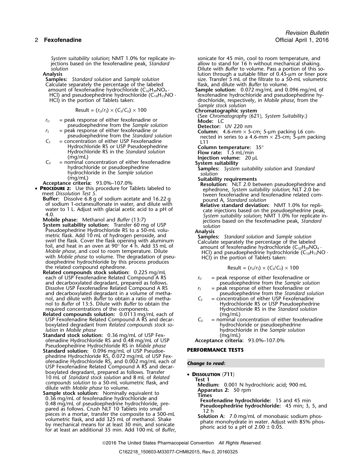*System suitability solution*; NMT 1.0% for replicate in-<br>iections based on the fexofenadine peak, *Standard* allow to stand for 16 h without mechanical shaking. jections based on the fexofenadine peak, *Standard* solution

Calculate separately the percentage of the labeled amount of fexofenadine hydrochloride (C<sub>32</sub>H<sub>39</sub>NO<sub>4</sub> amount of fexofenadine hydrochloride  $(C_{32}H_{39}NO_4 \cdot$  **Sample solution:** 0.072 mg/mL and 0.096 mg/mL of HCl) and pseudoephedrine hydrochloride  $(C_{10}H_{15}NO \cdot$  fexofenadine hydrochloride and pseudoephedrine hy-

$$
Result = (r_U/r_S) \times (C_S/C_U) \times 100
$$

- $r_U$  = peak response of either fexofenadine or pseudoephedrine from the *Sample solution* = peak response of either fexofenadine or
- 
- Hydrochloride RS or USP Pseudoephedrine **Column temperature:** 35° Hydrochloride RS in the *Standard solution* **Flow rate:** 1.5 mL/min (mg/mL) **Injection volume:**<sup>20</sup> <sup>µ</sup><sup>L</sup>
- *C*<sub>*U*</sub> = nominal concentration of either fexofenadine **System suitability**<br>hydrochloride or pseudoephedrine **System Suitability Samples:** *System suitability solution* and *Standard*<br>hydrochloride in the *Sample solut* hydrochloride in the *Sample solution solution*
- 
- •**PROCEDURE 2:** Use this procedure for Tablets labeled to ephedrone, *System suitability solution*; NLT 2.0 be-<br>meet *Dissolution Test 5*.
	- **Buffer:** Dissolve 6.8 g of sodium acetate and 16.22 g pound A, *Standard solution*<br>of sodium 1-octanesulfonate in water, and dilute with **Relative standard deviation:** NMT 1.0% for repli-
	-
	- **System suitability solution:** Transfer 60 mg of USP *solution* Pseudoephedrine Hydrochloride RS to a 50-mL volu-<br>
	metric flask. Add 10 mL of hydrogen peroxide, and<br>
	swirl the flask. Cover the flask opening with aluminum<br>
	foil, and heat in an oven at 90° for 4 h. Add 35 mL of<br>
	Mobile doephedrine hydrochloride by this process produces  $I$  the related compound ephedrone.
	- **Related compounds stock solution:** 0.225 mg/mL each of USP Fexofenadine Related Compound A RS  $r_U =$  peak response of either fexofenadine or<br>and decarboxylated degradant, prepared as follows.<br>pseudoephedrine from the Sample solution and decarboxylated degradant, prepared as follows. pseudoephedrine from the *Sample solution* Dissolve USP Fexofenadine Related Compound A RS *<sup>r</sup><sup>S</sup>* = peak response of either fexofenadine or and decarboxylated degradant in a volume of metha-<br>nol, and dilute with *Buffer* to obtain a ratio of metha-<br> $C_s$  = concentration of either USP Fexofenadine nol, and dilute with *Buffer* to obtain a ratio of metha-<br>
	nol to *Buffer* of 13:5. Dilute with *Buffer* to obtain the *C<sub>S</sub>* = concentration of either USP Pseudoephedrine nol to *Buffer* of 13:5. Dilute with *Buffer* to obtain the Hydrochloride RS or USP Pseudoephedrine<br>
	Hydrochloride RS in the *Standard solution*<br>
	Hydrochloride RS in the *Standard solution*
	- required concentrations of the components.<br>**Related compounds solution:** 0.0113 mg/mL each of *mg/mL*) **Related compounds solution:** 0.0113 mg/mL each of (mg/mL)<br>USP Fexofenadine Related Compound A RS and decar-  $C_U$  = nominal concentration of either fexofenadine USP Fexofenadine Related Compound A RS and decar-<br>boxylated degradant from *Related compounds stock so*-<br>hydrochloride or pseudoephedrine boxylated degradant from *Related compounds stock solution* in *Mobile phase*
	- **Standard stock solution:** 0.36 mg/mL of USP Fex- (mg/mL) ofenadine Hydrochloride RS and 0.48 mg/mL of USP **Acceptance criteria:** 93.0%–107.0%
	- Pseudoephedrine Hydrochloride RS in *Mobile phase* **Standard solution:** 0.096 mg/mL of USP Pseudoe- **PERFORMANCE TESTS** phedrine Hydrochloride RS, 0.072 mg/mL of USP Fexofenadine Hydrochloride RS, and 0.002 mg/mL each of *Change to read:* USP Fexofenadine Related Compound A RS and decarboxylated degradant, prepared as follows. Transfer •Doxylated degradant, prepared as follows. Transfer<br>10 mL of *Standard stock solution* and 8 mL of *Related* **Test 1**<br>*Compounds solution* to a 50-mL volumetric flask, and **Test 1**
	- compounds solution to a 50-mL volumetric flask, and<br>
	dilute with Mobile phase to volume.<br> **Sample stock solution:** Nominally equivalent to<br>
	0.36 mg/mL of fexofenadine hydrochloride and<br>
	0.48 mg/mL of pseudoephedrine hydroc pared as follows. Cluster the composite of a 500-mL<br>pieces in a mortar, transfer the composite to a 500-mL<br>volumetric flask, and add 325 mL of methanol. Shake<br>by mechanical means for at least 30 min, and sonicate<br>for at le

*solution*<br>**Analysis Dilute with** *Buffer* **to volume. Pass a portion of this so-<br>lution through a suitable filter of 0.45-um or finer por** Analysis<br>**Samples:** Standard solution and Sample solution **and a suitable filter of 0.45-**µm or finer pore<br>size. Transfer 5 mL of the filtrate to a 50-mL volumetric **Samples:** *Standard solution* and *Sample solution* size. Transfer 5 mL of the filtrate to a 50-mL volumetric

HCl) and pseudoephedrine hydrochloride (C<sub>10</sub>H<sub>15</sub>NO · fexofenadine hydrochloride and pseudoephedrine hy-<br>HCl) in the portion of Tablets taken: dochloride, respectively, in *Mobile phase*, from the drochloride, respectively, in Mobile phase, from the<br>Sample stock solution

## *Sample stock solution* Result = (*<sup>r</sup>U*/*<sup>r</sup>S*) × (*CS*/*CU*) ×<sup>100</sup> **Chromatographic system**

(See *Chromatography* 〈621〉*, System Suitability*.)

- 
- pseudoephedrine from the *Sample solution*<br> *r*<sub>S</sub> = peak response of either fexofenadine or **Column:** 4.6-mm × 5-cm; 5-µm packing L6 con-<br>
pseudoephedrine from the *Standard solution* enected in series to a 4.6-mm × 25-cm pseudoephedrine from the *Standard solution*<br>C<sub>S</sub> = concentration of either USP Fexofenadine L11 L11
	-
	-
	-
	-
	-
	-
- (mg/mL)<br>**Acceptance criteria:** 93.0%–107.0% *Suitability requirements*<br>PROCEDURE 2: Use this procedure for Tablets labeled to **PROCEDURE 2:** Use this procedure for Tablets labeled to
- water to 1 L. Adjust with glacial acetic acid to a pH of<br>
4.0.<br>
Mobile phase: Methanol and Buffer (13:7)<br>
System suitability solution; NMT 1.0% for replicate in-<br>
System suitability solution: Transfer 60 mg of USP<br>
System

$$
Result = (r_U/r_S) \times (C_S/C_U) \times 100
$$

- 
- 
- 
- *lution* in *Mobile phase* hydrochloride in the *Sample solution*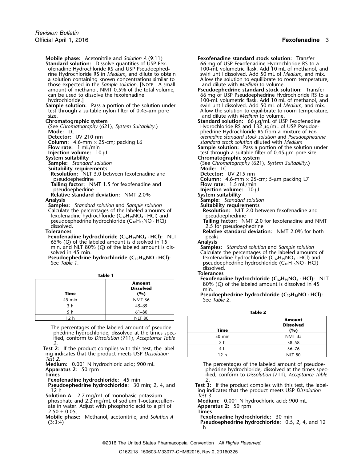**Mobile phase:** Acetonitrile and *Solution A* (9:11) **Fexofenadine standard stock solution:** Transfer **Standard solution:** Dissolve quantities of USP Fex-<br>ofenadine Hydrochloride RS and USP Pseudoephedrine Hydrochloride RS in *Medium*, and dilute to obtain a solution containing known concentrations similar to those expected in the *Sample solution*. [NOTE—A small amount of methanol, NMT 0.5% of the total volume, amount of methanol, NMT 0.5% of the total volume, **Pseudoephedrine standard stock solution:** Transfer can be used to dissolve the fexofenadine 66 mg of USP Pseudoephedrine Hydrochloride RS to a<br>100-mL volumetric flask. Add 10 mL of methanol, and

**Sample solution:** Pass a portion of the solution under swirl until dissolved. Add 50 mL of *Medium*, and mix.<br>test through a suitable nylon filter of 0.45-um pore allow the solution to equilibrate to room temperature. test through a suitable nylon filter of  $0.45$ - $\mu$ m pore size. and dilute with *Medium* to volume.

(See *Chromatography* 〈621〉*, System Suitability*.) Hydrochloride RS and 132 µg/mL of USP Pseudoe-

- **Suitability requirements**<br> **Sample:** Standard solution<br> **Suitability requirements**<br> **Resolution:** NLT 3.0 between fexofenadine and<br> **Resolution:** NLT 3.0 between fexofenadine and<br> **Detector:** UV 215 nm **Resolution:** NLT 3.0 between fexofenadine and pseudoephedrine **Column:** 4.6-mm × 25-cm; 5-µm packing L7<br> **ailing factor:** NMT 1.5 for fexofenadine and **Column:** 4.6-mm × 25-cm; 5-µm packing L7
- **Tailing factor:** NMT 1.5 for fexofenadine and pseudoephedrine **Relative standard deviation:** NMT 2.0%<br>**Analysis**

**Samples:** *Standard solution* and *Sample solution* **Suitability requirements**<br> **Calculate the percentages of the labeled amounts of <b>Resolution:** NLT 2.0 between fexofenadine and Calculate the percentages of the labeled amounts of **Resolution:** NLT 2.0 between fexofenadine hydrochloride  $(C_{32}H_{39}NO_4 \cdot HCl)$  and pseudoephedrine fexofenadine hydrochloride  $(C_{32}H_{39}NO_4 \cdot HCl)$  and pseudoephedrine<br>pseudoephedrine hydrochloride  $(C_{10}H_{15}NO \cdot HCl)$  **Tailing factor:** NMT 2.0 for fexofenadine and NMT pseudoephedrine hydrochloride (C<sub>10</sub>H<sub>15</sub>NO · HCl)<br>dissolved. dissolved. 2.5 for pseudoephedrine

- **Fexofenadine hydrochloride**  $(C_{32}H_{39}NO_4 \cdot HCl)$ **:** NLT peaks 65% (O) of the labeled amount is dissolved in 15 65% (*Q*) of the labeled amount is dissolved in 15 **Analysis** min, and NLT 80% (*Q*) of the labeled amount is dissolved in 45 min.
- 

| <b>EXPLUSIVE LIVER OCHIOLIC</b><br>80% (Q) of the labeled am<br>min.<br>Pseudoephedrine hydroch | <b>Amount</b><br><b>Dissolved</b><br>(%) | Time   |
|-------------------------------------------------------------------------------------------------|------------------------------------------|--------|
| See Table 2.                                                                                    | <b>NMT 36</b>                            | 45 min |
|                                                                                                 | $45 - 69$                                |        |
| <b>Table 2</b>                                                                                  | $61 - 80$                                |        |
|                                                                                                 | NII TRO                                  |        |

The percentages of the labeled amount of pseudoephedrine hydrochloride, dissolved at the times specified, conform to Dissolution  $(711)$ , Acceptance Table *2*. 2 h 38–58

Test 2: If the product complies with this test, the labeling indicates that the product meets USP Dissolution *Test 2*.

- **Fexofenadine hydrochloride:** 45 min *2*.
- **Solution A:** 2.7 mg/mL of monobasic potassium<br>
phosphate and 2.2 mg/mL of sodium 1-octanesulfon-<br> **Medium:** 0.001 N hydrochloric acid; 900 mL phosphate and 2.2 mg/mL of sodium 1-octanesulfon-**Medium:** 0.001 N hyate in water. Adjust with phosphoric acid to a pH of **Apparatus 2:** 50 rpm ate in water. Adjust with phosphoric acid to a pH of 2.50 ± 0.05. **Times**

**Mobile phase:** Methanol, acetonitrile, and *Solution A* **Fexofenadine hydrochloride:** 30 min (3:3:4)<br>Pseudoephedrine hydrochloride: 0.5

100-mL volumetric flask. Add 10 mL of methanol, and swirl until dissolved. Add 50 mL of *Medium*, and mix. Allow the solution to equilibrate to room temperature, and dilute with *Medium* to volume. 100-mL volumetric flask. Add 10 mL of methanol, and swirl until dissolved. Add 50 mL of *Medium*, and mix. **Chromatographic system**<br>(See Chromatography (621), System Suitability.) **Standard solution:** 66 µg/mL of USP Pseudoe-

**Mode:** LC **but a mode: LC** phedrine Hydrochloride RS from a mixture of *Fex-***Detector:** UV 210 nm<br> **Column:** 4.6-mm × 25-cm; packing L6 **by and** *Standard stock solution* diluted with *Medium* **Column:** 4.6-mm × 25-cm; packing L6 *standard stock solution diluted with Medium*<br>**Flow rate:** 1 mL/min **collect and** *Sample solution***:** Pass a portion of the solu

**Flow rate:** 1 mL/min **Sample solution:** Pass a portion of the solution under **Injection volume:** 10 µL test through a suitable filter of 0.45-µm pore size. **System suitability Chromatographic system**

**Sample:** *Standard solution* (See *Chromatography* 〈621〉*, System Suitability*.)

**Injection volume:** 10 µL<br>System suitability

- **Sample:** *Standard solution*<br>**Suitability requirements** 
	-
	-

**Tolerances Relative standard deviation:** NMT 2.0% for both

solved in 45 min.<br> **Pseudoephedrine hydrochloride (C<sub>10</sub>H<sub>15</sub>NO · HCl):** Calculate the percentages of the labeled amounts of exercentages of the labeled amounts of exercencies of the labeled amounts of exercencies  $\text{C}_{3$ **Pseudoephedrine hydrochloride (C<sub>10</sub>H<sub>15</sub>NO** · **HCl):** fexofenadine hydrochloride (C<sub>32</sub>H<sub>39</sub>NO<sub>4</sub> · HCl) and pseudoephedrine hydrochloride (C<sub>10</sub>H<sub>15</sub>NO · HCl) pseudoephedrine hydrochloride (C<sub>10</sub>H<sub>15</sub>NO · HCl) dissolved.

**Table 1**<br> **Fexofenadine hydrochloride (C<sub>32</sub>H<sub>39</sub>NO<sub>4</sub> · HCl): NLT Amount** 80% (*Q*) of the labeled amount is dissolved in 45 **Dissolved** min.

> **Time (%) Pseudoephedrine hydrochloride (C10H15NO · HCl):** See *Table 2*.

| <b>NLT 80</b>                               |                  | <b>Amount</b>                                                                                                                                         |
|---------------------------------------------|------------------|-------------------------------------------------------------------------------------------------------------------------------------------------------|
| rcentages of the labeled amount of pseudoe- | Time             | <b>Dissolved</b><br>(%)                                                                                                                               |
|                                             | $30 \text{ min}$ | <b>NMT 35</b>                                                                                                                                         |
|                                             | 2 h              | $38 - 58$                                                                                                                                             |
|                                             | 4 h              | 56–76                                                                                                                                                 |
| ates that the product meets USP Dissolution | 12 h             | <b>NLT 80</b>                                                                                                                                         |
|                                             |                  | rine hydrochloride, dissolved at the times spec-<br>conform to Dissolution (711), Acceptance Table<br>the product complies with this test, the label- |

**Medium:** 0.001 N hydrochloric acid; 900 mL The percentages of the labeled amount of pseudoe-<br>Apparatus 2: 50 rpm phedrine hydrochloride, dissolved at the times spec-**Times** ified, conform to *Dissolution* 〈711〉*, Acceptance Table*

> Test 3: If the product complies with this test, the labeling indicates that the product meets USP *Dissolution*<br>Test 3.

(3:3:4) **Pseudoephedrine hydrochloride:** 0.5, 2, 4, and 12 h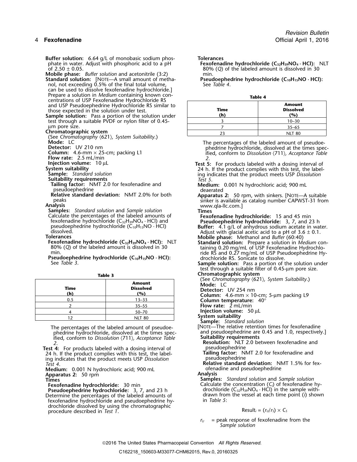**Buffer solution:** 6.64 g/L of monobasic sodium phos-<br>phate in water. Adjust with phosphoric acid to a pH **Fexofena** phate in water. Adjust with phosphoric acid to a pH **Fexofenadine hydrochloride (C32H39NO<sup>4</sup> · HCl):** NLT

**Mobile phase:** *Buffer solution* and acetonitrile (3:2) min. min. min. in mobile phase: *Buffer Sultion:* [NOTE—A small amount of metha-<br>**Peromana and property property of the state of the state of Prendicipal and Sultion Standard solution:** [NOTE—A small amount of metha-<br>1 **Pseudoephedrine hydrochloride (C10H** *C***<sub>2</sub><b>***Dhe 4. See Table 4.* 

nol, not exceeding 0.5% of the final total volume, can be used to dissolve fexofenadine hydrochloride.]<br>Prepare a solution in Medium containing known con-Prepare a solution in *Medium* containing known con- **Table 4** centrations of USP Fexofenadine Hydrochloride RS and USP Pseudoephedrine Hydrochloride RS similar to those expected in the solution under test.

**Sample solution:** Pass a portion of the solution under test through a suitable PVDF or nylon filter of 0.45-

um pore size.<br>Chromatographic system

(See *Chromatography*  $(621)$ *, System Suitability.)* 

**Suitability requirements**<br>**Tailing factor:** NMT 2.0 for fexofenadine and pseudoephedrine deviation: NMT 2.0% for both deaerated<br>Relative standard deviation: NMT 2.0% for both Apparatus

Calculate the percentages of the labeled amounts of **Fexofenadine hydrochloride:** 15 and 45 min fexofenadine hydrochloride (C32H39NO<sup>4</sup> · HCl) and **Pseudoephedrine hydrochloride:** 3, 7, and 23 h Fexofenadine hydrochloride (C<sub>10</sub>H<sub>15</sub>NO<sub>4</sub> · HCl) and<br>pseudoephedrine hydrochloride (C<sub>10</sub>H<sub>15</sub>NO · HCl) **Buffer:** 4.1 g/L of anhydrous sodium acetate in water.<br>dissolved. Adjust with glacial acetic acid to a pH of 3.6 ±

**Fexofenadine hydrochloride (C<sub>32</sub>H<sub>39</sub>NO<sub>4</sub> · HCl):** NLT **Standard solution:** Prepare a solution in *Medium* con-<br>80% (Q) of the labeled amount is dissolved in 30 taining 0.20 mg/mL of USP Fexofenadine Hydrochlo-

| Time<br>(h) | <b>Amount</b><br><b>Dissolved</b><br>(%) | (see Chromatography (621), system suitability.<br>Mode: LC<br><b>Detector:</b> UV 254 nm<br><b>Column:</b> 4.6-mm $\times$ 10-cm; 5-µm packing L9 |
|-------------|------------------------------------------|---------------------------------------------------------------------------------------------------------------------------------------------------|
| 0.5         | $13 - 33$                                | Column temperature: $40^{\circ}$                                                                                                                  |
|             | $35 - 55$                                | Flow rate: $2 \text{ mL/min}$                                                                                                                     |
|             | 50-70                                    | Injection volume: 50 µL                                                                                                                           |
|             | NIIT RO                                  | System suitability                                                                                                                                |

The percentages of the labeled amount of pseudoe- [NOTE—The relative retention times for fexofenadine<br>[.phedrine hydrochloride. dissolved at the times spec- and pseudoephedrine are 0.45 and 1.0, respectively.] phedrine hydrochloride, dissolved at the times spec- and pseudoephedrine are ified, conform to Dissolution (711), Acceptance Table **Suitability requirements** ified, conform to *Dissolution*  $\langle 711 \rangle$ , *Acceptance Table* 

**Test 4:** For products labeled with a dosing interval of **product of the pseudoephedrine**<br>24 h. If the product complies with this test, the label-**Tailing factor:** NMT 2.0 for fexofenadine and 24 h. If the product complies with this test, the label-**Tailing factor:** N.<br>
ing indicates that the product meets USP *Dissolution* and and pseudoephedrine ing indicates that the product meets USP Dissolution Test 4.

**Medium:** 0.001 N hydrochloric acid; 900 mL ofenadine and pseudoephedrine<br> **Annalysis Annalysis Apparatus 2: 50 rpm**<br>**Times** 

**Pseudoephedrine hydrochloride:** 3, 7, and 23 h drochloride (C<sub>32</sub>H<sub>39</sub>NO<sub>4</sub> · HCl) in the sample with-<br>Determine the percentages of the labeled amounts of drawn from the vessel at each time point (*i*) shown Determine the percentages of the labeled amounts of drawn from drawn from the version of the vessel at each tim<br>
detail in Table 5: fexofenadine hydrochloride and pseudoephedrine hydrochloride dissolved by using the chromatographic procedure described in *Test 1*. The contract of a set of the result  $\epsilon = (r_U/r_S) \times C_S$ 

of 2.50 ± 0.05. 80% (*Q*) of the labeled amount is dissolved in 30

| Time<br>(h) | <b>Amount</b><br><b>Dissolved</b><br>(%) |  |  |
|-------------|------------------------------------------|--|--|
|             | $10 - 30$                                |  |  |
|             | $35 - 65$                                |  |  |
| つっ          | <b>NLT 80</b>                            |  |  |

Mode: LC<br>
Detector: UV 210 nm<br>
Obtector: UV 210 nm<br>
Column: 4.6-mm × 25-cm; packing L1<br>
Flow rate: 2.5 mL/min<br>
Flow rate: 2.5 mL/min<br>
Flow rate: 2.5 mL/min<br>
Flow rate: 2.5 mL/min

**Injection volume:** 10 μL<br> **System suitability**<br> **System suitability**<br>
Sample: *Standard solution*<br>
Suitability requirements<br>
Suitability requirements<br>
Test 5. For product complies with a dosing interval of<br> *Standard sol* 

**Medium:** 0.001 N hydrochloric acid; 900 mL

**Relative standard deviation:** NMT 2.0% for both **Apparatus 2:** 50 rpm, with sinkers. [NOTE—A suitable peaks sinker is available as catalog number CAPWST-31 from **Analysis** www.qla-llc.com.] **Samples:** *Standard solution* and *Sample solution* **Times**

min.<br>**Pseudoephedrine hydrochloride (C<sub>10</sub>H<sub>15</sub>NO · HCl):**<br>See *Table 3*.<br>See *Table 3*.<br>See *Table 3*.

Sample solution: Pass a portion of the solution under test through a suitable filter of 0.45-µm pore size.

**Table 3 Chromatographic system**

(See *Chromatography* 〈621〉*, System Suitability*.) **Amount Mode:** LC

**Sample:** *Standard solution* 

*2*. **Resolution:** NLT 2.0 between fexofenadine and

**Relative standard deviation:** NMT 1.5% for fex-

**Times Samples:** *Standard solution* and *Sample solution* **Fexofenadine hydrochloride:** 30 min **Calculate the concentration (C**<sub>*i*</sub>) of fexofenadine hy-<br>**Pseudoephedrine hydrochloride:** 3, 7, and 23 h drochloride (C<sub>32</sub>H<sub>39</sub>NO<sub>4</sub> · HCl) in the sample with-

 $r_U$  = peak response of fexofenadine from the *Sample solution*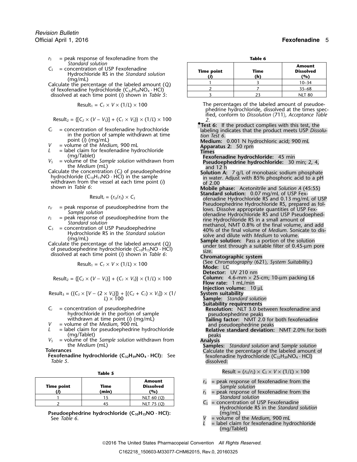- *r*<sub>S</sub> = peak response of fexofenadine from the **Table 6**<br>*Standard solution*
- 
- of fexofenadine hydrochloride  $(C_{32}H_{39}NO_4 \cdot HCl)$ dissolved at each time point (*i*) shown in *Table 5*:

$$
Result_1 = C_1 \times V \times (1/L) \times 100
$$

 $\text{Result}_2 = \{ [C_2 \times (V - V_S)] + (C_1 \times V_S) \} \times (1/L) \times 100$  2.

- in the portion of sample withdrawn at time point (*i*) (mg/mL)
- 
- 
- 
- Laiculate the concentration (C<sub>i</sub>) of pseudoephedrine<br>hydrochloride (C<sub>10</sub>H<sub>15</sub>NO · HCl) in the sample<br>withdrawn from the vessel at each time point (i) only of 2.00<br>of 2.00 shown in *Table 6*: **Mobile phase:** Acetonitrile and *Solution A* (45:55)

$$
Result_i = (r_U/r_S) \times C_S
$$

- 
- 
- 
- 

$$
Result_1 = C_1 \times V \times (1/L) \times 100
$$

$$
Result_2 = \{ [C_2 \times (V - V_5)] + (C_1 \times V_5) \} \times (1/L) \times 100
$$

Result<sub>3</sub> = (
$$
\{C_3 \times [V - (2 \times V_3)]\} + [(C_2 + C_1) \times V_3] \times (1/
$$
  
L) × 100

- 
- 
- 

| ۰.<br>M.<br>٠<br>v |  |  |  |  |
|--------------------|--|--|--|--|
|--------------------|--|--|--|--|

| <b>Time point</b> | Time<br>(min) | <b>Amount</b><br><b>Dissolved</b><br>(%) |
|-------------------|---------------|------------------------------------------|
|                   |               | NLT 60 (O)                               |
|                   |               | NLT 75 (Q)                               |

**Pseudoephedrine hydrochloride (C<sub>10</sub>H<sub>15</sub>NO · HCl):** See Table 6.

| Standard solution<br>= concentration of USP Fexofenadine<br>$C_5$<br>Hydrochloride RS in the Standard solution | <b>Time point</b> | Time<br>(h) | <b>Amount</b><br><b>Dissolved</b><br>(%) |
|----------------------------------------------------------------------------------------------------------------|-------------------|-------------|------------------------------------------|
| (ma/mL)<br>Calculate the percentage of the labeled amount $(Q_i)$                                              |                   |             | $10 - 34$                                |
| of fexofenadine hydrochloride $(C_{32}H_{39}NO_4 \cdot HCl)$                                                   |                   |             | $35 - 68$                                |
| dissolved at each time point (i) shown in Table 5:                                                             |                   | 23          | <b>NLT 80</b>                            |

- The percentages of the labeled amount of pseudoephedrine hydrochloride, dissolved at the times spec-<br>ified, conform to Dissolution  $\langle 711 \rangle$ , Acceptance Table
- **Test 6:** If the product complies with this test, the  $C_i$  = concentration of fexofenadine hydrochloride labeling indicates that the product meets USP *Dissolution* the portion of sample withdrawn at time that the *complement of the product meets* USP *Dissolution* Test 6.

point (*i*) (mg/mL)<br> *V* = volume of the *Medium*, 900 mL<br> *L* = label claim for fexofenadine hydrochloride **Times**<br>
(mg/Tablet) **Trans**<br>
(mg/Tablet) **Trans** 

- (mg/Tablet) **Fexofenadine hydrochloride:** 45 min *V*<sub>S</sub> = volume of the *Sample solution* withdrawn from **Pseudoephedrine hydrochloride:** 30 min; 2, 4, the *Medium* (mL) and 12 h and 12 h calculate the concentration (C<sub>i</sub>) of pseudoephedrine **Solution A:** 7 g/L of monoba
	-
- Standard solution: 0.07 mg/mL of USP Fex-<br>ofenadine Hydrochloride RS and 0.13 mg/mL of USP  $r_0$  = peak response of pseudoephedrine from the<br>
sample solution<br>  $r_5$  = peak response of pseudoephedrine from the<br>
sample solution<br>  $r_5$  = concentration of USP Pseudoephedrine<br>
Standard solution<br>  $r_5$  = concentratio
	-

- (See *Chromatography* 〈621〉*, System Suitability*.) Result<sup>1</sup> <sup>=</sup>*C<sup>1</sup>* <sup>×</sup> *<sup>V</sup>* <sup>×</sup> (1/*L*) ×<sup>100</sup> **Mode:** LC **Detector:** UV 210 nm **Column:** 4.6-mm × 25-cm; 10-μm packing L6 **Flow rate:** 1 mL/min **Injection volume:** 10 µL Result<sup>3</sup> = ({*C<sup>3</sup>* <sup>×</sup> [*V* <sup>−</sup> (2 <sup>×</sup> *VS*)]} + [(*C2*<sup>+</sup>*C1*) <sup>×</sup> *VS*]) × (1/ **System suitability Sample:** *Standard solution*<br>**Suitability requirements**  $S_i$  = concentration of pseudoephedrine **Resolution:** NLT 3.0 between fexofenadine and hydrochloride in the portion of sample **Resolution:**  $\frac{1}{100}$  pseudoephedrine peaks hydrochloride in the portion of sample pseudoephedrine peaks withdrawn at time point (*i*) (mg/mL) **Tailing factor:** NMT 2.0 for both fexofenadine = volume of the *Medium*, 900 mL and pseudoephedrine peaks *L* = label claim for pseudoephedrine hydrochloride **Relative standard deviation:** NMT 2.0% for both <br>(mg/Tablet) (mg/Tablet)<br>  $V_5$  = volume of the *Sample solution* withdrawn from<br>
the *Medium* (mL)<br>
Tolerances<br>
Texofenadine hydrochloride (C<sub>32</sub>H<sub>39</sub>NO<sub>4</sub> · HCl): See<br>
Fexofenadine hydrochloride (C<sub>32</sub>H<sub>39</sub>NO<sub>4</sub> · HCl): See<br>
Table 5  $Result = (r<sub>U</sub>/r<sub>S</sub>) \times C<sub>S</sub> \times V \times (1/L) \times 100$ 
	- $r_U$  = peak response of fexofenadine from the  $Sample$  *solution*
	- **(***i***) (min) (%)** *<sup>r</sup><sup>S</sup>* = peak response of fexofenadine from the **Standard solution**
	- $C<sub>S</sub>$  = concentration of USP Fexofenadine Hydrochloride RS in the *Standard solution*
	- volume of the *Medium*, 900 mL
	- = label claim for fexofenadine hydrochloride (mg/Tablet)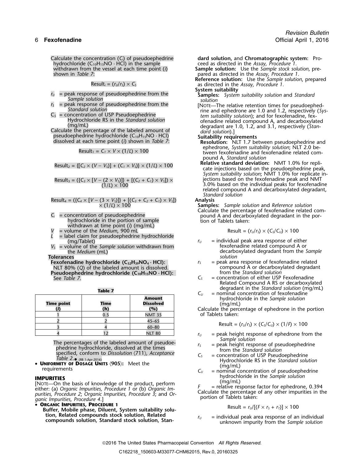hydrochloride (C10H15NO · HCl) in the sample ceed as directed in the *Assay, Procedure 1.* shown in *Table 7*: pared as directed in the *Assay, Procedure 1.*

$$
Result_i = (r_U/r_S) \times C_S
$$

- *r*<sub>*U*</sub> = peak response of pseudoephedrine from the **Samples:** *System suitability solution* and *Standard Solution Solution*
- *Sample solution solution*
- 

(mg/mL)<br>Calculate the percentage of the labeled amount of *dard solution*).]<br>pseudoephedrine hydrochloride (C<sub>10</sub>H<sub>15</sub>NO · HCl) **Suitability requirements** 

$$
esult_1 = C_1 \times V \times (1/L) \times 100
$$

$$
Result_2 = \{ [C_2 \times (V - V_5)] + (C_1 \times V_5) \} \times (1/L) \times 100
$$

Result<sub>3</sub> = (
$$
{C_3 \times [V - (2 \times V_5)]}
$$
 +  $[(C_2 + C_1) \times V_5]) \times$   
(1/L) × 100

$$
Result_4 = (\{C_4 \times [V - (3 \times V_5)]\} + [(C_3 + C_2 + C_1) \times V_5])
$$
 Analysis  
 
$$
\times (1/L) \times 100
$$

- withdrawn at time point (*i*) (mg/mL)
- *V* = volume of the *Medium*, 900 mL Result = (*<sup>r</sup>U*/*<sup>r</sup>S*) × (*CS*/*CU*) × 100
- = label claim for pseudoephedrine hydrochloride<br>(mg/Tablet)
- $=$  volume of the *Sample solution* withdrawn from

**Pseudoephedrine hydrochloride (C10H15NO · HCl):** from the *Standard solution*

| . . | Ш<br>m |  |
|-----|--------|--|
|     |        |  |

| hydrochloride in the Sample solution<br>(ma/mL)<br>Calculate the percentage of ephedrone in the | <b>Amount</b><br><b>Dissolved</b><br>(%) | Time | <b>Time point</b> |
|-------------------------------------------------------------------------------------------------|------------------------------------------|------|-------------------|
| of Tablets taken:                                                                               | <b>NMT 35</b>                            |      |                   |
|                                                                                                 | $45 - 65$                                |      |                   |
| Result = $(r_U/r_s) \times (C_s/C_u) \times (1/F) \times 100$                                   | $60 - 80$                                |      |                   |
| $=$ peak height response of ephedrone from                                                      | <b>NLT 80</b>                            |      |                   |

The percentages of the labeled amount of pseudoe-<br>  $r<sub>S</sub>$  = peak height response of pseudoephedrine phedrine hydrochloride, dissolved at the times from the *Standard solution* Table  $2.$  (RB 1-Apr-2016)

• **UNIFORMITY OF DOSAGE UNITS**  $\langle 905 \rangle$ : Meet the *Standard Solution* (mg/ml)

**IMPURITIES**<br>
[NOTE—On the basis of knowledge of the product, perform<br>
either: (a) Organic Impurities, Procedure 1 or (b) Organic Im-<br>
purities, Procedure 2; Organic Impurities, Procedure 3; and Or-<br> **ORGANIC IMPURITIES,** 

•

Buffer, Mobile phase, Diluent, System suitability solution, Related compounds stock solution, Related<br>compounds solution, Standard stock solution, Stan-<br>unknown impurity from the Sample solution<br>compounds solution

Calculate the concentration (*Ci*) of pseudoephedrine **dard solution,** and **Chromatographic system:** Pro-

withdrawn from the vessel at each time point (*i*) **Sample solution:** Use the *Sample stock solution*, pre-

Reference solution: Use the *Sample solution*, prepared **Reference solution**: Use the *Sample solution*, prepared as directed in the *Assay, Procedure 1*.

- **System suitability**
- 
- $C_s$  = peak response of pseudoephedrine from the  $C_s$  = concentration of USP Pseudoephedrine from the standard solution<br>  $C_s$  = concentration of USP Pseudoephedrine and ephedrone are 1.0 and 1.2, respectively (Sys-<br>
Hydro

- dissolved at each time point (*i*) shown in *Table 7*: **Resolution:** NLT 1.7 between pseudoephedrine and<br>ephedrone, *System suitability solution*; NLT 2.0 be- $\text{Result}_1 = C_1 \times V \times (1/L) \times 100$  epitemolic, *System suitability solution*, NLT 2.0 be-<br>tween fexofenadine and fexofenadine related compound A, *Standard solution*
	- cate injections based on the pseudoephedrine peak, *System suitability solution*; NMT 1.0% for replicate in- $F$  is external on the fexofenadine peak and NMT (1/*L*) ×<sup>100</sup> 3.0% based on the individual peaks for fexofenadine related compound A and decarboxylated degradant, *Standard solution*

**Samples:** *Sample solution* and *Reference solution* Calculate the percentage of fexofenadine related com- $C_i$  = concentration of pseudoephedrine **percentration** of pseudoephedrine por-<br> *C<sub>i</sub>* = concentration of pseudoephedrine portion of sample tion of Tablets taken:

$$
Result = (r_U/r_S) \times (C_S/C_U) \times 100
$$

- $r_U$  = individual peak area response of either<br>fexofenadine related compound A or the *Medium* (mL) decarboxylated degradant from the *Sample*<br>
ces
- **Tolerances**<br>**Fexofenadine hydrochloride (C<sub>32</sub>H<sub>39</sub>NO<sub>4</sub> · HCl): The analy r<sub>s</sub> and the peak area response of fexofenadine related Fexofenadine hydrochloride (C32H39NO<sup>4</sup> · HCl):** *<sup>r</sup><sup>S</sup>* = peak area response of fexofenadine related NLT 80% (*Q*) of the labeled amount is dissolved. compound A or decarboxylated degradant
	- See Table 7.  $\qquad \qquad \qquad C_5$  = concentration of either USP Fexofenadine Related Compound A RS or decarboxylated degradant in the *Standard solution* (mg/mL)  $C_U$  = nominal concentration of fexofenadine
		- **Amount** hydrochloride in the *Sample solution*

**(***i***) (h) (%)** Calculate the percentage of ephedrone in the portion of Tablets taken:

$$
Result = (r_U/r_S) \times (C_S/C_U) \times (1/P) \times 100
$$

- $r_U$  = peak height response of ephedrone from the *Sample solution* 
	-
- specified, conform to *Dissolution*  $\langle 711 \rangle$ , *Acceptance*  $C_s$  = concentration of USP Pseudoephedrine *Table 2.*<br>Table 2. (88 1-Apr-2016)<br>**Table 2.** (88 1-Apr-2016) **Acceptance** *Concentration* **Example 2** Hydrochlorid
- **UP**  $U_{ij} = \begin{bmatrix} 0 & 0 \\ 0 & 0 \end{bmatrix}$  in  $U_{ij} = \begin{bmatrix} 0 & 0 \\ 0 & 0 \end{bmatrix}$  and concentration of pseudoephedrine *by drochloride* in the *Sample solution*

$$
Result = r_U/[(F \times r_S + r_T)] \times 100
$$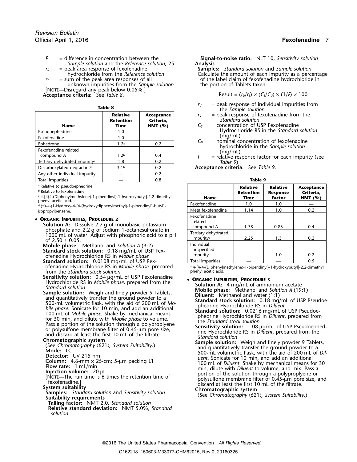- *F* = difference in concentration between the **Signal-to-noise ratio:** NLT 10, *Sensitivity solution Sample solution* and the *Reference solution*, 25 = peak area response of fexofenadine
- 
- unknown impurities from the *Sample solution* [NOTE—Disregard any peak below 0.05%.]

**Acceptance criteria:** See *Table 8*.  $\qquad \qquad$  Result =  $(r_U/r_S) \times (C_S/C_U) \times (1/f) \times 100$ 

| Tabl | ı |  |
|------|---|--|
|      |   |  |

|                                           |                                             |                                       | GIC JUILDIC JUIGLIUIL                                                                                |
|-------------------------------------------|---------------------------------------------|---------------------------------------|------------------------------------------------------------------------------------------------------|
| <b>Name</b>                               | <b>Relative</b><br><b>Retention</b><br>Time | Acceptance<br>Criteria,<br>NMT $(% )$ | $=$ peak response of fexe<br>$r_{\rm S}$<br>Standard solution<br>$=$ concentration of USP<br>$C_{S}$ |
| Pseudoephedrine                           | 1.0                                         |                                       | Hydrochloride RS in                                                                                  |
| Fexofenadine                              | 1.0                                         |                                       | (mg/mL)                                                                                              |
| Ephedrone                                 | 1.2 <sup>a</sup>                            | 0.2                                   | $=$ nominal concentratio<br>$C_{U}$<br>hydrochloride in the                                          |
| Fexofenadine related<br>compound A        | 1.2 <sup>b</sup>                            | 0.4                                   | (mg/mL)<br>$=$ relative response facter                                                              |
| Tertiary dehydrated impurity <sup>c</sup> | 1.8                                         | 0.2                                   | Table 9)                                                                                             |
| Decarboxylated degradant <sup>d</sup>     | 3.1 <sup>b</sup>                            | 0.2                                   | Acceptance criteria: See Tab                                                                         |
| Any other individual impurity             |                                             | 0.2                                   |                                                                                                      |
| Total impurities                          |                                             | 0.8                                   | <b>Table 9</b>                                                                                       |

## • ORGANIC IMPURITIES, PROCEDURE 2

from the *Standard stock solution* 

**Sensitivity solution:** 0.54 µg/mL of USP Fexofenadine **• ORGANIC IMPURITIES, PROCEDURE 3**<br>Hydrochloride RS in *Mobile phase*, prepared from the **• Colution A:** 4 mg/mL of ammo

- 
- 

- 
- 

**Tailing factor:** NMT 2.0, *Standard solution*

**Relative standard deviation:** NMT 5.0%, *Standard solution*

*r*<sub>S</sub> = peak area response of fexofenadine **Samples:** *Standard solution* and *Sample solution*<br>hydrochloride from the *Reference solution* Calculate the amount of each impurity as a perc hydrochloride from the *Reference solution*<br>
= sum of the peak area responses of all<br>
of the label claim of fexofenadine hydrochloride in  $r<sub>T</sub>$  = sum of the peak area responses of all  $r<sub>T</sub>$  of the label claim of fexofenadine hydrochloride in unknown impurities from the *Sample solution* the portion of Tablets taken:

- *<sup>r</sup><sup>U</sup>* = peak response of individual impurities from **Table 8** the *Sample solution*
- $r<sub>S</sub>$  = peak response of fexofenadine from the **Retention Criteria,** *Standard solution*
- $C<sub>S</sub>$  = concentration of USP Fexofenadine Hydrochloride RS in the *Standard solution*<br>(mg/mL)
- $C_U$  = nominal concentration of fexofenadine<br>hydrochloride in the *Sample solution*<br> $(mg/mL)$ <br> $F =$  relative response factor for each impuri
- = relative response factor for each impurity (see Table 9)

Acceptance criteria: See Table 9.

| <sup>a</sup> Relative to pseudoephedrine.<br><b>b</b> Relative to fexofenadine.<br>4-[4{4-(Diphenylmethylene)-1-piperidinyl}-1-hydroxybutyl]-2,2-dimethyl<br>phenyl acetic acid.                           | <b>Name</b>                                                                           | <b>Relative</b><br><b>Retention</b><br>Time | <b>Relative</b><br><b>Response</b><br><b>Factor</b> | Acceptance<br>Criteria.<br>NMT $(%)$ |
|------------------------------------------------------------------------------------------------------------------------------------------------------------------------------------------------------------|---------------------------------------------------------------------------------------|---------------------------------------------|-----------------------------------------------------|--------------------------------------|
| <sup>d</sup> (±)-4-(1-Hydroxy-4-[4-(hydroxydiphenylmethyl)-1-piperidinyl]-butyl]-                                                                                                                          | Fexofenadine                                                                          | 1.0                                         | 1.0                                                 |                                      |
| isopropylbenzene.                                                                                                                                                                                          | Meta fexofenadine                                                                     | 1.14                                        | 1.0                                                 | 0.2                                  |
| <b>ORGANIC IMPURITIES, PROCEDURE 2</b><br>Solution A: Dissolve 2.7 g of monobasic potassium<br>phosphate and 2.2 g of sodium 1-octanesulfonate in<br>1000 mL of water. Adjust with phosphoric acid to a pH | Fexofenadine<br>related<br>compound A<br>Tertiary dehydrated<br>impurity <sup>a</sup> | 1.38<br>2.25                                | 0.83<br>1.3                                         | 0.4<br>0.2                           |
| of $2.50 \pm 0.05$ .<br><b>Mobile phase:</b> Methanol and Solution A (3:2)<br>Standard stock solution: 0.18 mg/mL of USP Fex-<br>ofenadine Hydrochloride RS in Mobile phase                                | Individual<br>unspecified<br>impurity                                                 |                                             | 1.0                                                 | 0.2                                  |
| <b>Standard solution:</b> 0.0108 mg/mL of USP Fex-                                                                                                                                                         | Total impurities                                                                      |                                             |                                                     | 0.5                                  |

ofenadine Hydrochloride RS in *Mobile phase*, prepared a. 4-[4{4-(Diphenylmethylene)-1-piperidinyl}-1-hydroxybutyl]-2,2-dimethyl<br>from the Standard stock solution

- 
- 
- **Example solution** Number of the solution At 4 mg/mL of ammonium acetate<br>
Standard solution Weigh and finely powder 9 Tablets,<br>
Solution At 4 mg/mL of ammonium acetate<br>
Sample solution. Weigh and finely powder 9 Tablets,<br>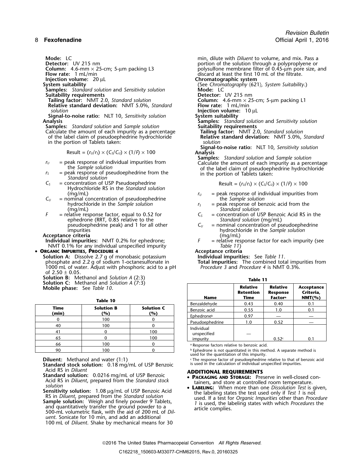**Samples:** *Standard solution* and *Sensitivity solution* **Suitability requirements Suitability requirements**<br>**Tailing factor:** NMT 2.0, Standard solution **Column:** 4.6-mm × 25

- **Relative standard deviation:** NMT 5.0%, *Standard* solution
- **Signal-to-noise ratio:** NLT 10, *Sensitivity solution* **Analysis**

**Samples:** *Standard solution* and *Sample solution* 

Calculate the amount of each impurity as a percentage of the label claim of pseudoephedrine hydrochloride in the portion of Tablets taken: *solution*

$$
Result = (r_U/r_S) \times (C_S/C_U) \times (1/F) \times 100
$$

- 
- $=$  peak response of pseudoephedrine from the *Standard solution*
- *C*<sub>S</sub> = concentration of USP Pseudoephedrine Hydrochloride RS in the *Standard solution*
- $C_U$  = nominal concentration of pseudoephedrine hydrochloride in the *Sample solution*
- (mg/mL) *Standard solution* ephedrone (RRT, 0.85 relative to the *pseudoephedrine peak*) and 1 for all other  $C_U$

**Acceptance criteria**<br> **Individual impurities:** NMT 0.2% for ephedrone;  $\overline{F}$ NMT 0.1% for any individual unspecified impurity *Table 11*)

•

- **ORGANIC IMPURITIES, PROCEDURE 4**<br> **Solution A:** Dissolve 2.7 g of monobasic potassium<br> **Individual impurities:** See Table 11. **Solution A:** Dissolve 2.7 g of monobasic potassium<br>
phosphate and 2.2 g of sodium 1-octanesulfonate in<br>
1000 mL of water. Adjust with phosphoric acid to a pH<br> *Procedure 3* and *Procedure 4* is NMT 0.3%. phosphate and 2.2 g of sodium 1-octanesulfonate in **Total impurities:** The combined total impurities from 1000 mL of water. Adjust with phosphoric acid to a pH *Procedure 3* and *Procedure 4* is NMT 0.3%. of  $2.50 \pm 0.05$ .
- **Solution B:** Methanol and *Solution A* (2:3) **Solution C:** Methanol and *Solution A* (7:3)

**Mobile phase:** See *Table 10*.

|    |                                                                       | <b>Delizalgerivge</b> | <b>v.</b> 4                                  |     |  |  |
|----|-----------------------------------------------------------------------|-----------------------|----------------------------------------------|-----|--|--|
|    | <b>Solution B</b><br><b>Solution C</b><br>Time<br>(min)<br>(%)<br>(%) |                       | Benzoic acid                                 | 0.5 |  |  |
|    |                                                                       |                       | Ephedroneb                                   | 0.9 |  |  |
|    | 100                                                                   |                       | Pseudoephedrine                              | 1.0 |  |  |
| 40 | 100                                                                   |                       | Individual                                   |     |  |  |
|    |                                                                       | 100                   | unspecified                                  |     |  |  |
| 65 |                                                                       | 100                   | impurity                                     |     |  |  |
| 66 | 100                                                                   |                       | a Response factors relative to ben           |     |  |  |
| 90 | 100                                                                   |                       | <sup>b</sup> Ephedrone is not quantitated in |     |  |  |

**Standard stock solution:** 0.18 mg/mL of USP Benzoic<br>Acid RS in *Diluent* 

- Acid RS in *Diluent* **ADDITIONAL REQUIREMENTS Standard solution:** 0.0216 mg/mL of USP Benzoic •Acid RS in Diluent, prepared from the Standard stock<br>solution<br>**Sensitivity solution:** 1.08 µg/mL of USP Benzoic Acid<br>**CONFORT SERING:** When more than one Dissolution: 1.08 µg/mL of USP Benzoic Acid<br>the labeling states the
- Sensitivity solution: 1.08 µg/mL of USP Benzoic Acid<br>
RS in Diluent, prepared from the *Standard solution*<br>
Sample solution: Weigh and finely powder 9 Tablets,<br>
and quantitatively transfer the ground powder to a<br>
500-mL vo *uent*. Sonicate for 10 min, and add an additional 100 mL of *Diluent*. Shake by mechanical means for 30

**Mode:** LC<br> **Detector:** UV 215 nm<br> **Detector:** UV 215 nm **Detector:** UV 215 nm<br> **Column:** 4.6-mm × 25-cm; 5-µm packing L3 polysulfone membrane filter of 0.45-µm pore size, in **Column:** 4.6-mm × 25-cm; 5-µm packing L3 polysulfone membrane filter of 0.45-µm pore size, and **Flow rate:** 1 mL/min discard at least the first 10 mL of the filtrate. **Injection volume:** 20 µL **Chromatographic system**<br>System suitability **COUL** System suitability (See Chromatography  $(62)$ 

**System suitability** (See *Chromatography* 〈621〉*, System Suitability*.)

**Tailing Factor:** NMT 2.0-cm; 5-µm packing L1 **Flow rate:** 1 mL/min

*Injection volume:* 10 μL System suitability

- **Analysis Samples:** *Standard solution* and *Sensitivity solution*
- **Relative standard deviation: NMT 5.0%, Standard Relative standard**

**Signal-to-noise ratio:** NLT 10, *Sensitivity solution* Result = (*<sup>r</sup>U*/*<sup>r</sup>S*) × (*CS*/*CU*) × (1/*F*) ×<sup>100</sup> **Analysis**

**Samples:** *Standard solution* and *Sample solution r*<sub>*U*</sub> = peak response of individual impurities from Calculate the amount of each impurity as a percentage the *Sample solution* the *r*<sub>5</sub> the label claim of pseudoephedrine hydrochloride in the portion of Tablets taken

$$
\text{Result} = (r_U/r_S) \times (C_S/C_U) \times (1/P) \times 100
$$

- (mg/mL)<br>ominal concentration of pseudoephedrine  $r_U$  = peak response of individual impurities from<br>the *Sample solution* 
	- $r<sub>S</sub>$  = peak response of benzoic acid from the
- *F* = relative response factor, equal to 0.52 for  $C_s$  = concentration of USP Benzoic Acid RS in the ephedrone (RRT, 0.85 relative to the *Standard solution* (mg/mL)
	- pseudoephedrine peak) and 1 for all other  $C_U$  = nominal concentration of pseudoephedrine inpurities  $D$  hydrochloride in the *Sample solution* hydrochloride in the *Sample solution*<br>(mg/mL)
- **Individual impurities:** NMT 0.2% for ephedrone; *F* = relative response factor for each impurity (see NMT 0.1% for any individual unspecified impurity  $\frac{F}{d}$  = relative response factor for each impurity (see

| <b>THON B:</b> Wethanol and <i>Solution A</i> (2:3)<br><b>ition C:</b> Methanol and Solution A $(7:3)$<br><b>pile phase:</b> See Table 10. |                          | Table 11                 |                                      |                                                           |                                      |     |
|--------------------------------------------------------------------------------------------------------------------------------------------|--------------------------|--------------------------|--------------------------------------|-----------------------------------------------------------|--------------------------------------|-----|
|                                                                                                                                            |                          | <b>Name</b>              | <b>Relative</b><br>Retention<br>Time | Relative<br><b>Response</b><br><b>Factor</b> <sup>a</sup> | Acceptance<br>Criteria,<br>$NMT(\%)$ |     |
|                                                                                                                                            | Table 10                 |                          | Benzaldehyde                         | 0.43                                                      | 0.40                                 | 0.1 |
| Time<br>(min)                                                                                                                              | <b>Solution B</b><br>(%) | <b>Solution C</b><br>(%) | Benzoic acid                         | 0.55                                                      | 1.0                                  | 0.1 |
|                                                                                                                                            | 100                      |                          | Ephedroneb                           | 0.97                                                      |                                      |     |
|                                                                                                                                            |                          |                          | Pseudoephedrine                      | 1.0                                                       | 0.52                                 |     |
| 40                                                                                                                                         | 100                      |                          | Individual                           |                                                           |                                      |     |
| -41                                                                                                                                        |                          | 100                      | unspecified                          |                                                           |                                      |     |
| - 65                                                                                                                                       |                          | 100                      | impurity                             |                                                           | 0.52c                                | 0.1 |
| $\epsilon$                                                                                                                                 | 100                      | $\sim$                   |                                      |                                                           |                                      |     |

<sup>a</sup> Response factors relative to benzoic acid.

90 100 1 comes in the dramabase is not quantitated in this method. A separate method is<br>used for the quantitation of this impurity.

**Diluent:** Methanol and water (1:1) <sup>.</sup> The response factor of pseudoephedrine relative to that of benzoic acid Standard stock solution: 0.18 mg/mL of USP Benzoic is used in the calculation of individual unspecified impuri

- 
-